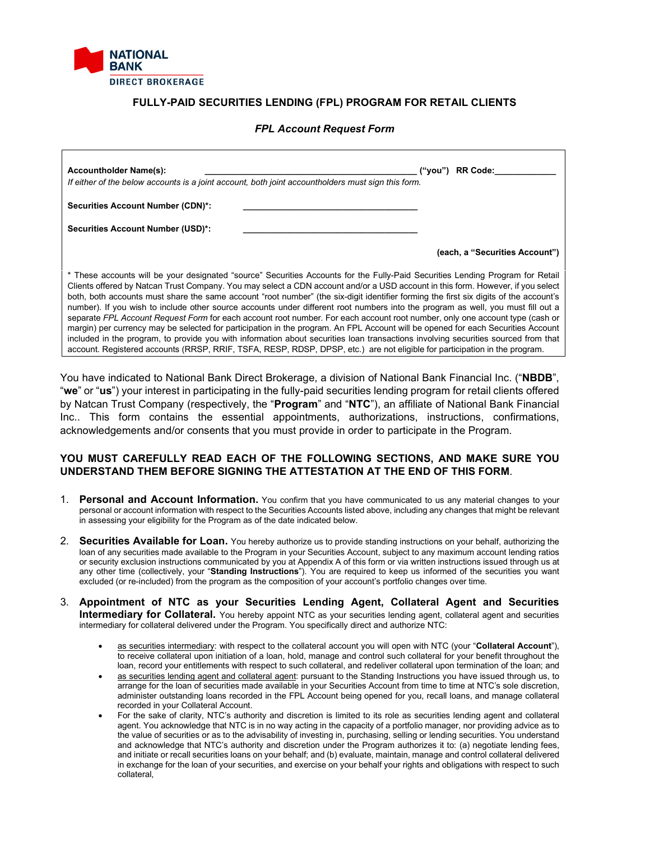

# **FULLY-PAID SECURITIES LENDING (FPL) PROGRAM FOR RETAIL CLIENTS**

#### *FPL Account Request Form*

| <b>Accountholder Name(s):</b><br>If either of the below accounts is a joint account, both joint accountholders must sign this form.                                                                                                                                                                                                                                                                                                                                                                                                                                                                                                                                                                                                                                                                                                                                                                                                                                                                                                                                                    | ("vou") | <b>RR Code:</b>                |
|----------------------------------------------------------------------------------------------------------------------------------------------------------------------------------------------------------------------------------------------------------------------------------------------------------------------------------------------------------------------------------------------------------------------------------------------------------------------------------------------------------------------------------------------------------------------------------------------------------------------------------------------------------------------------------------------------------------------------------------------------------------------------------------------------------------------------------------------------------------------------------------------------------------------------------------------------------------------------------------------------------------------------------------------------------------------------------------|---------|--------------------------------|
| <b>Securities Account Number (CDN)*:</b>                                                                                                                                                                                                                                                                                                                                                                                                                                                                                                                                                                                                                                                                                                                                                                                                                                                                                                                                                                                                                                               |         |                                |
| <b>Securities Account Number (USD)*:</b>                                                                                                                                                                                                                                                                                                                                                                                                                                                                                                                                                                                                                                                                                                                                                                                                                                                                                                                                                                                                                                               |         |                                |
|                                                                                                                                                                                                                                                                                                                                                                                                                                                                                                                                                                                                                                                                                                                                                                                                                                                                                                                                                                                                                                                                                        |         | (each, a "Securities Account") |
| * These accounts will be your designated "source" Securities Accounts for the Fully-Paid Securities Lending Program for Retail<br>Clients offered by Natcan Trust Company. You may select a CDN account and/or a USD account in this form. However, if you select<br>both, both accounts must share the same account "root number" (the six-digit identifier forming the first six digits of the account's<br>number). If you wish to include other source accounts under different root numbers into the program as well, you must fill out a<br>separate FPL Account Request Form for each account root number. For each account root number, only one account type (cash or<br>margin) per currency may be selected for participation in the program. An FPL Account will be opened for each Securities Account<br>included in the program, to provide you with information about securities loan transactions involving securities sourced from that<br>account. Registered accounts (RRSP, RRIF, TSFA, RESP, RDSP, DPSP, etc.) are not eligible for participation in the program. |         |                                |

You have indicated to National Bank Direct Brokerage, a division of National Bank Financial Inc. ("**NBDB**", "**we**" or "**us**") your interest in participating in the fully-paid securities lending program for retail clients offered by Natcan Trust Company (respectively, the "**Program**" and "**NTC**"), an affiliate of National Bank Financial Inc.. This form contains the essential appointments, authorizations, instructions, confirmations, acknowledgements and/or consents that you must provide in order to participate in the Program.

### **YOU MUST CAREFULLY READ EACH OF THE FOLLOWING SECTIONS, AND MAKE SURE YOU UNDERSTAND THEM BEFORE SIGNING THE ATTESTATION AT THE END OF THIS FORM**.

- 1. **Personal and Account Information.** You confirm that you have communicated to us any material changes to your personal or account information with respect to the Securities Accounts listed above, including any changes that might be relevant in assessing your eligibility for the Program as of the date indicated below.
- 2. **Securities Available for Loan.** You hereby authorize us to provide standing instructions on your behalf, authorizing the loan of any securities made available to the Program in your Securities Account, subject to any maximum account lending ratios or security exclusion instructions communicated by you at Appendix A of this form or via written instructions issued through us at any other time (collectively, your "**Standing Instructions**"). You are required to keep us informed of the securities you want excluded (or re-included) from the program as the composition of your account's portfolio changes over time.
- 3. **Appointment of NTC as your Securities Lending Agent, Collateral Agent and Securities Intermediary for Collateral.** You hereby appoint NTC as your securities lending agent, collateral agent and securities intermediary for collateral delivered under the Program. You specifically direct and authorize NTC:
	- as securities intermediary: with respect to the collateral account you will open with NTC (your "**Collateral Account**"), to receive collateral upon initiation of a loan, hold, manage and control such collateral for your benefit throughout the loan, record your entitlements with respect to such collateral, and redeliver collateral upon termination of the loan; and
	- as securities lending agent and collateral agent: pursuant to the Standing Instructions you have issued through us, to arrange for the loan of securities made available in your Securities Account from time to time at NTC's sole discretion, administer outstanding loans recorded in the FPL Account being opened for you, recall loans, and manage collateral recorded in your Collateral Account.
	- For the sake of clarity, NTC's authority and discretion is limited to its role as securities lending agent and collateral agent. You acknowledge that NTC is in no way acting in the capacity of a portfolio manager, nor providing advice as to the value of securities or as to the advisability of investing in, purchasing, selling or lending securities. You understand and acknowledge that NTC's authority and discretion under the Program authorizes it to: (a) negotiate lending fees, and initiate or recall securities loans on your behalf; and (b) evaluate, maintain, manage and control collateral delivered in exchange for the loan of your securities, and exercise on your behalf your rights and obligations with respect to such collateral,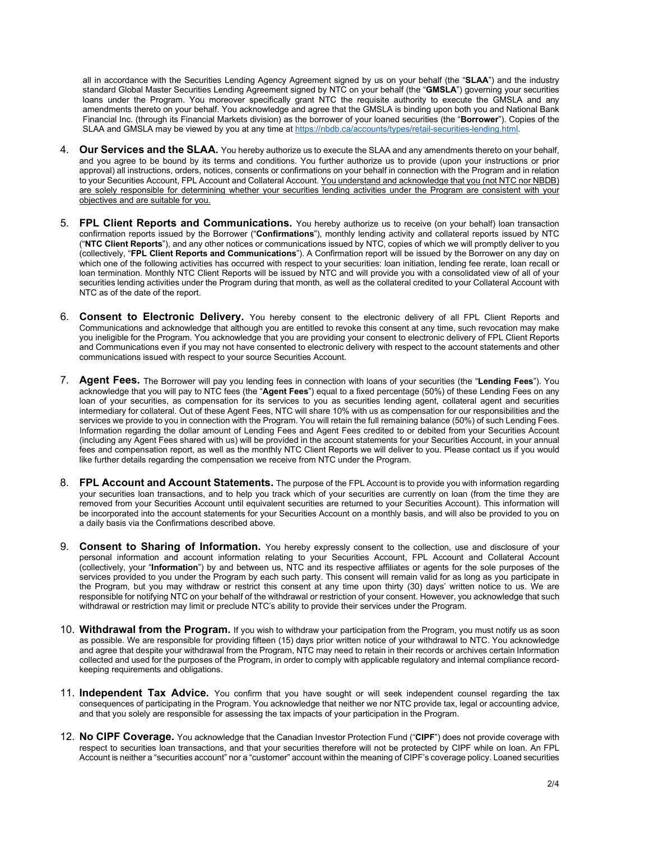all in accordance with the Securities Lending Agency Agreement signed by us on your behalf (the "**SLAA**") and the industry standard Global Master Securities Lending Agreement signed by NTC on your behalf (the "**GMSLA**") governing your securities loans under the Program. You moreover specifically grant NTC the requisite authority to execute the GMSLA and any amendments thereto on your behalf. You acknowledge and agree that the GMSLA is binding upon both you and National Bank Financial Inc. (through its Financial Markets division) as the borrower of your loaned securities (the "**Borrower**"). Copies of the SLAA and GMSLA may be viewed by you at any time at [https://nbdb.ca/accounts/types/retail-securities-lending.html.](https://nbdb.ca/accounts/types/retail-securities-lending.html)

- 4. **Our Services and the SLAA.** You hereby authorize us to execute the SLAA and any amendments thereto on your behalf, and you agree to be bound by its terms and conditions. You further authorize us to provide (upon your instructions or prior approval) all instructions, orders, notices, consents or confirmations on your behalf in connection with the Program and in relation to your Securities Account, FPL Account and Collateral Account. You understand and acknowledge that you (not NTC nor NBDB) are solely responsible for determining whether your securities lending activities under the Program are consistent with your objectives and are suitable for you.
- 5. **FPL Client Reports and Communications.** You hereby authorize us to receive (on your behalf) loan transaction confirmation reports issued by the Borrower ("**Confirmations**"), monthly lending activity and collateral reports issued by NTC ("**NTC Client Reports**"), and any other notices or communications issued by NTC, copies of which we will promptly deliver to you (collectively, "**FPL Client Reports and Communications**"). A Confirmation report will be issued by the Borrower on any day on which one of the following activities has occurred with respect to your securities: loan initiation, lending fee rerate, loan recall or loan termination. Monthly NTC Client Reports will be issued by NTC and will provide you with a consolidated view of all of your securities lending activities under the Program during that month, as well as the collateral credited to your Collateral Account with NTC as of the date of the report.
- 6. **Consent to Electronic Delivery.** You hereby consent to the electronic delivery of all FPL Client Reports and Communications and acknowledge that although you are entitled to revoke this consent at any time, such revocation may make you ineligible for the Program. You acknowledge that you are providing your consent to electronic delivery of FPL Client Reports and Communications even if you may not have consented to electronic delivery with respect to the account statements and other communications issued with respect to your source Securities Account.
- 7. **Agent Fees.** The Borrower will pay you lending fees in connection with loans of your securities (the "**Lending Fees**"). You acknowledge that you will pay to NTC fees (the "**Agent Fees**") equal to a fixed percentage (50%) of these Lending Fees on any loan of your securities, as compensation for its services to you as securities lending agent, collateral agent and securities intermediary for collateral. Out of these Agent Fees, NTC will share 10% with us as compensation for our responsibilities and the services we provide to you in connection with the Program. You will retain the full remaining balance (50%) of such Lending Fees. Information regarding the dollar amount of Lending Fees and Agent Fees credited to or debited from your Securities Account (including any Agent Fees shared with us) will be provided in the account statements for your Securities Account, in your annual fees and compensation report, as well as the monthly NTC Client Reports we will deliver to you. Please contact us if you would like further details regarding the compensation we receive from NTC under the Program.
- 8. **FPL Account and Account Statements.** The purpose of the FPL Account is to provide you with information regarding your securities loan transactions, and to help you track which of your securities are currently on loan (from the time they are removed from your Securities Account until equivalent securities are returned to your Securities Account). This information will be incorporated into the account statements for your Securities Account on a monthly basis, and will also be provided to you on a daily basis via the Confirmations described above.
- 9. **Consent to Sharing of Information.** You hereby expressly consent to the collection, use and disclosure of your personal information and account information relating to your Securities Account, FPL Account and Collateral Account (collectively, your "**Information**") by and between us, NTC and its respective affiliates or agents for the sole purposes of the services provided to you under the Program by each such party. This consent will remain valid for as long as you participate in the Program, but you may withdraw or restrict this consent at any time upon thirty (30) days' written notice to us. We are responsible for notifying NTC on your behalf of the withdrawal or restriction of your consent. However, you acknowledge that such withdrawal or restriction may limit or preclude NTC's ability to provide their services under the Program.
- 10. **Withdrawal from the Program.** If you wish to withdraw your participation from the Program, you must notify us as soon as possible. We are responsible for providing fifteen (15) days prior written notice of your withdrawal to NTC. You acknowledge and agree that despite your withdrawal from the Program, NTC may need to retain in their records or archives certain Information collected and used for the purposes of the Program, in order to comply with applicable regulatory and internal compliance recordkeeping requirements and obligations.
- 11. **Independent Tax Advice.** You confirm that you have sought or will seek independent counsel regarding the tax consequences of participating in the Program. You acknowledge that neither we nor NTC provide tax, legal or accounting advice, and that you solely are responsible for assessing the tax impacts of your participation in the Program.
- 12. **No CIPF Coverage.** You acknowledge that the Canadian Investor Protection Fund ("**CIPF**") does not provide coverage with respect to securities loan transactions, and that your securities therefore will not be protected by CIPF while on loan. An FPL Account is neither a "securities account" nor a "customer" account within the meaning of CIPF's coverage policy. Loaned securities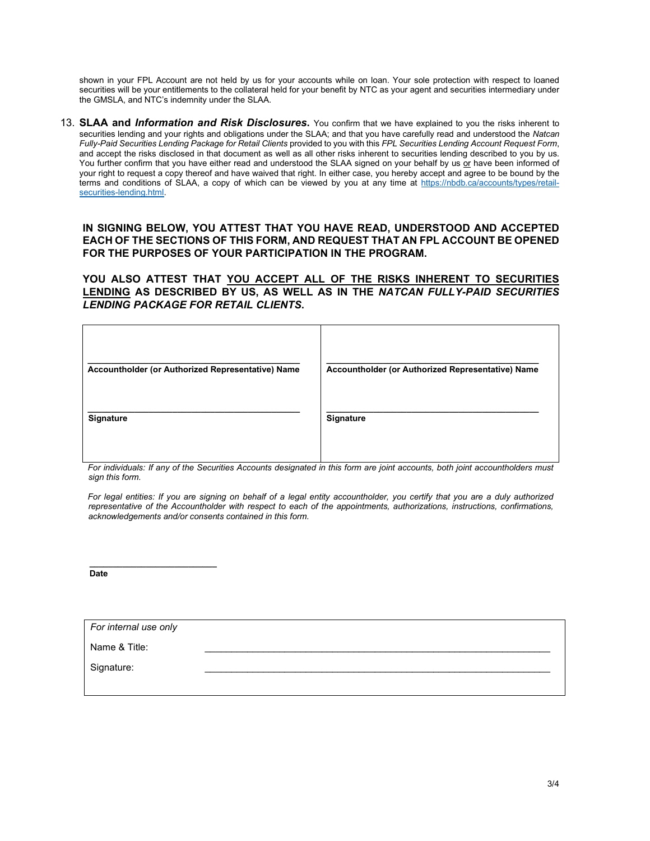shown in your FPL Account are not held by us for your accounts while on loan. Your sole protection with respect to loaned securities will be your entitlements to the collateral held for your benefit by NTC as your agent and securities intermediary under the GMSLA, and NTC's indemnity under the SLAA.

13. **SLAA and** *Information and Risk Disclosures***.** You confirm that we have explained to you the risks inherent to securities lending and your rights and obligations under the SLAA; and that you have carefully read and understood the *Natcan Fully-Paid Securities Lending Package for Retail Clients* provided to you with this *FPL Securities Lending Account Request Form*, and accept the risks disclosed in that document as well as all other risks inherent to securities lending described to you by us. You further confirm that you have either read and understood the SLAA signed on your behalf by us or have been informed of your right to request a copy thereof and have waived that right. In either case, you hereby accept and agree to be bound by the terms and conditions of SLAA, a copy of which can be viewed by you at any time at [https://nbdb.ca/accounts/types/retail](https://nbdb.ca/accounts/types/retail-securities-lending.html)securities-lending.html

# **IN SIGNING BELOW, YOU ATTEST THAT YOU HAVE READ, UNDERSTOOD AND ACCEPTED EACH OF THE SECTIONS OF THIS FORM, AND REQUEST THAT AN FPL ACCOUNT BE OPENED FOR THE PURPOSES OF YOUR PARTICIPATION IN THE PROGRAM.**

**YOU ALSO ATTEST THAT YOU ACCEPT ALL OF THE RISKS INHERENT TO SECURITIES LENDING AS DESCRIBED BY US, AS WELL AS IN THE** *NATCAN FULLY-PAID SECURITIES LENDING PACKAGE FOR RETAIL CLIENTS***.**

| Accountholder (or Authorized Representative) Name | Accountholder (or Authorized Representative) Name |
|---------------------------------------------------|---------------------------------------------------|
| Signature                                         | Signature                                         |

*For individuals: If any of the Securities Accounts designated in this form are joint accounts, both joint accountholders must sign this form.*

*For legal entities: If you are signing on behalf of a legal entity accountholder, you certify that you are a duly authorized representative of the Accountholder with respect to each of the appointments, authorizations, instructions, confirmations, acknowledgements and/or consents contained in this form.*

**Date** 

*For internal use only* 

**\_\_\_\_\_\_\_\_\_\_\_\_\_\_\_\_\_\_\_\_\_\_\_\_\_\_\_** 

Name & Title: \_\_\_\_\_\_\_\_\_\_\_\_\_\_\_\_\_\_\_\_\_\_\_\_\_\_\_\_\_\_\_\_\_\_\_\_\_\_\_\_\_\_\_\_\_\_\_\_\_\_\_\_\_\_\_\_\_\_\_\_\_\_\_\_\_

Signature: \_\_\_\_\_\_\_\_\_\_\_\_\_\_\_\_\_\_\_\_\_\_\_\_\_\_\_\_\_\_\_\_\_\_\_\_\_\_\_\_\_\_\_\_\_\_\_\_\_\_\_\_\_\_\_\_\_\_\_\_\_\_\_\_\_